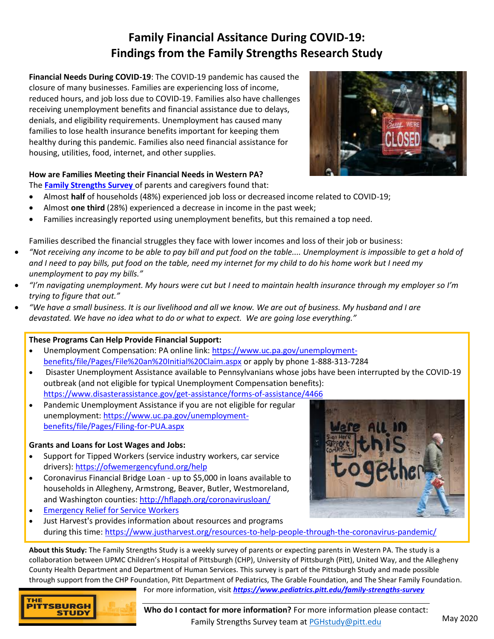# **Family Financial Assitance During COVID-19: Findings from the Family Strengths Research Study**

**Financial Needs During COVID-19**: The COVID-19 pandemic has caused the closure of many businesses. Families are experiencing loss of income, reduced hours, and job loss due to COVID-19. Families also have challenges receiving unemployment benefits and financial assistance due to delays, denials, and eligibility requirements. Unemployment has caused many families to lose health insurance benefits important for keeping them healthy during this pandemic. Families also need financial assistance for housing, utilities, food, internet, and other supplies.



## **How are Families Meeting their Financial Needs in Western PA?**

The **[Family Strengths Survey](https://www.pediatrics.pitt.edu/family-strengths-survey)** of parents and caregivers found that:

- Almost **half** of households (48%) experienced job loss or decreased income related to COVID-19;
- Almost **one third** (28%) experienced a decrease in income in the past week;
- Families increasingly reported using unemployment benefits, but this remained a top need.

Families described the financial struggles they face with lower incomes and loss of their job or business:

- *"Not receiving any income to be able to pay bill and put food on the table.... Unemployment is impossible to get a hold of and I need to pay bills, put food on the table, need my internet for my child to do his home work but I need my unemployment to pay my bills."*
- *"I'm navigating unemployment. My hours were cut but I need to maintain health insurance through my employer so I'm trying to figure that out."*
- *"We have a small business. It is our livelihood and all we know. We are out of business. My husband and I are devastated. We have no idea what to do or what to expect. We are going lose everything."*

#### **These Programs Can Help Provide Financial Support:**

- Unemployment Compensation: PA online link: [https://www.uc.pa.gov/unemployment](https://www.uc.pa.gov/unemployment-benefits/file/Pages/File%20an%20Initial%20Claim.aspx)[benefits/file/Pages/File%20an%20Initial%20Claim.aspx](https://www.uc.pa.gov/unemployment-benefits/file/Pages/File%20an%20Initial%20Claim.aspx) or apply by phone 1-888-313-7284
- Disaster Unemployment Assistance available to Pennsylvanians whose jobs have been interrupted by the COVID-19 outbreak (and not eligible for typical Unemployment Compensation benefits): <https://www.disasterassistance.gov/get-assistance/forms-of-assistance/4466>
- Pandemic Unemployment Assistance if you are not eligible for regular unemployment: [https://www.uc.pa.gov/unemployment](https://www.uc.pa.gov/unemployment-benefits/file/Pages/Filing-for-PUA.aspx)[benefits/file/Pages/Filing-for-PUA.aspx](https://www.uc.pa.gov/unemployment-benefits/file/Pages/Filing-for-PUA.aspx)

# **Grants and Loans for Lost Wages and Jobs:**

- Support for Tipped Workers (service industry workers, car service drivers)[: https://ofwemergencyfund.org/help](https://ofwemergencyfund.org/help)
- Coronavirus Financial Bridge Loan up to \$5,000 in loans available to households in Allegheny, Armstrong, Beaver, Butler, Westmoreland, and Washington counties:<http://hflapgh.org/coronavirusloan/>
- **[Emergency Relief for Service Workers](https://www.usbgfoundation.org/beap?fbclid=IwAR0H4U_NixUnzH7EtEixsiscYttC2HaWlxY809VFHsWx513zggmC3IoNwJg)**
- Just Harvest's provides information about resources and programs during this time:<https://www.justharvest.org/resources-to-help-people-through-the-coronavirus-pandemic/>

**About this Study:** The Family Strengths Study is a weekly survey of parents or expecting parents in Western PA. The study is a collaboration between UPMC Children's Hospital of Pittsburgh (CHP), University of Pittsburgh (Pitt), United Way, and the Allegheny County Health Department and Department of Human Services. This survey is part of the Pittsburgh Study and made possible through support from the CHP Foundation, Pitt Department of Pediatrics, The Grable Foundation, and The Shear Family Foundation.



For more information, visit *<https://www.pediatrics.pitt.edu/family-strengths-survey>*